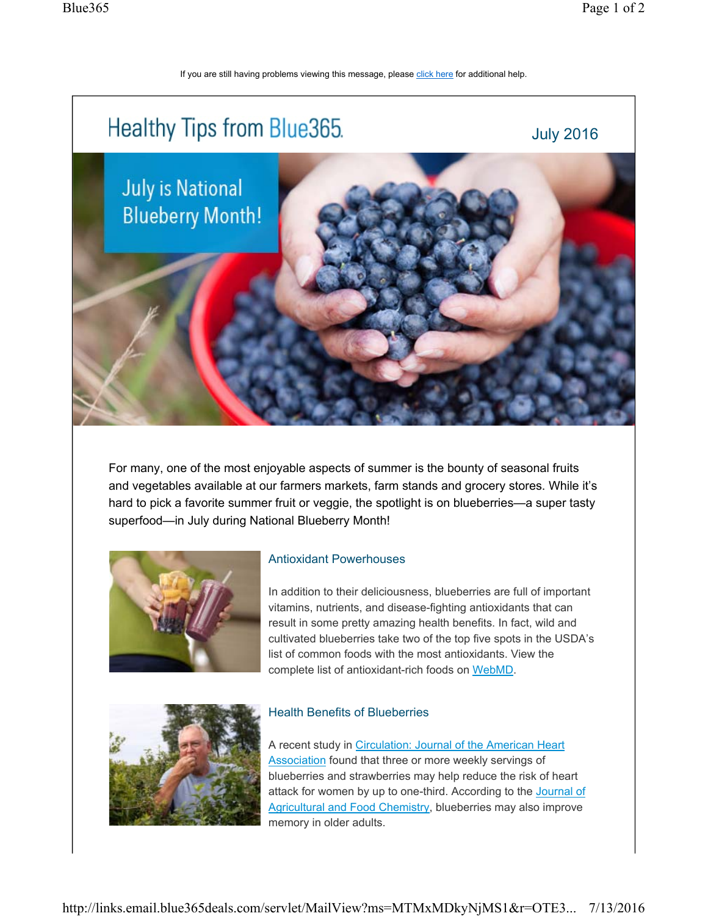If you are still having problems viewing this message, please click here for additional help.



For many, one of the most enjoyable aspects of summer is the bounty of seasonal fruits and vegetables available at our farmers markets, farm stands and grocery stores. While it's hard to pick a favorite summer fruit or veggie, the spotlight is on blueberries—a super tasty superfood—in July during National Blueberry Month!



## Antioxidant Powerhouses

In addition to their deliciousness, blueberries are full of important vitamins, nutrients, and disease-fighting antioxidants that can result in some pretty amazing health benefits. In fact, wild and cultivated blueberries take two of the top five spots in the USDA's list of common foods with the most antioxidants. View the complete list of antioxidant-rich foods on WebMD.



## Health Benefits of Blueberries

A recent study in Circulation: Journal of the American Heart Association found that three or more weekly servings of blueberries and strawberries may help reduce the risk of heart attack for women by up to one-third. According to the Journal of Agricultural and Food Chemistry, blueberries may also improve memory in older adults.